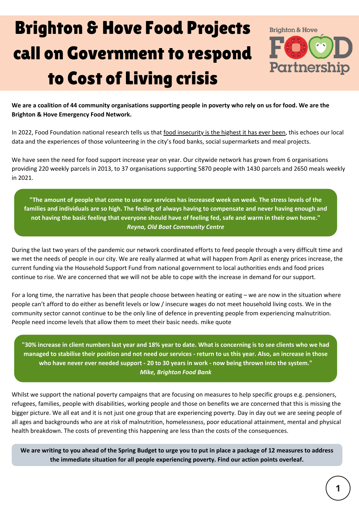## Brighton & Hove Food Projects call on Government to respond to Cost of Living crisis



We are a coalition of 44 community organisations supporting people in poverty who rely on us for food. We are the **Brighton & Hove Emergency Food Network.**

In 2022, Food Foundation national [research](https://foodfoundation.org.uk/initiatives/food-insecurity-tracking) tells us that food [insecurity](https://foodfoundation.org.uk/initiatives/food-insecurity-tracking) is the highest it has ever been, this echoes our local data and the experiences of those volunteering in the city's food banks, social supermarkets and meal projects.

We have seen the need for food support increase year on year. Our citywide network has grown from 6 organisations providing 220 weekly parcels in 2013, to 37 organisations supporting 5870 people with 1430 parcels and 2650 meals weekly in 2021.

"The amount of people that come to use our services has increased week on week. The stress levels of the families and individuals are so high. The feeling of always having to compensate and never having enough and not having the basic feeling that everyone should have of feeling fed, safe and warm in their own home." *Reyna, Old Boat Community Centre*

During the last two years of the pandemic our network coordinated efforts to feed people through a very difficult time and we met the needs of people in our city. We are really alarmed at what will happen from April as energy prices increase, the current funding via the Household Support Fund from national government to local authorities ends and food prices continue to rise. We are concerned that we will not be able to cope with the increase in demand for our support.

For a long time, the narrative has been that people choose between heating or eating – we are now in the situation where people can't afford to do either as benefit levels or low / insecure wages do not meet household living costs. We in the community sector cannot continue to be the only line of defence in preventing people from experiencing malnutrition. People need income levels that allow them to meet their basic needs. mike quote

"30% increase in client numbers last year and 18% year to date. What is concerning is to see clients who we had managed to stabilise their position and not need our services - return to us this year. Also, an increase in those who have never ever needed support - 20 to 30 years in work - now being thrown into the system." *Mike, Brighton Food Bank*

Whilst we support the national poverty campaigns that are focusing on measures to help specific groups e.g. pensioners, refugees, families, people with disabilities, working people and those on benefits we are concerned that this is missing the bigger picture. We all eat and it is not just one group that are experiencing poverty. Day in day out we are seeing people of all ages and backgrounds who are at risk of malnutrition, homelessness, poor educational attainment, mental and physical health breakdown. The costs of preventing this happening are less than the costs of the consequences.

We are writing to you ahead of the Spring Budget to urge you to put in place a package of 12 measures to address **the immediate situation for all people experiencing poverty. Find our action points overleaf.**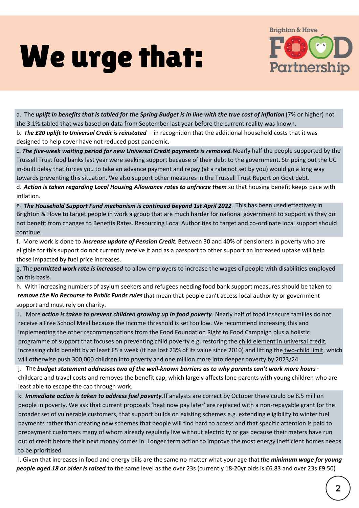## We urge that:



a. The **uplift in benefits that is tabled for the Spring Budget is in line with the true cost of inflation (7% or higher) not** the 3.1% tabled that was based on data from September last year before the current reality was known.

b. the £20 uplift to Universal Credit is reinstated – in recognition that the additional household costs that it was *The £20 uplift to Universal Credit is reinstated* designed to help cover have not reduced post pandemic.

c. The five-week waiting period for new Universal Credit payments is removed. Nearly half the people supported by the Trussell Trust food banks last year were seeking support because of their debt to the government. Stripping out the UC in-built delay that forces you to take an advance payment and repay (at a rate not set by you) would go a long way towards preventing this situation. We also support other measures in the Trussell Trust Report on Govt debt.

d. Action is taken regarding Local Housing Allowance rates to unfreeze them so that housing benefit keeps pace with inflation.

e. The Household Support Fund mechanism is continued beyond 1st April 2022. This has been used effectively in Brighton & Hove to target people in work a group that are much harder for national government to support as they do not benefit from changes to Benefits Rates. Resourcing Local Authorities to target and co-ordinate local support should continue.

f. More work is done to *increase update of Pension Credit*. Between 30 and 40% of pensioners in poverty who are eligible for this support do not currently receive it and as a passport to other support an increased uptake will help those impacted by fuel price increases.

g. The permitted work rate is increased to allow employers to increase the wages of people with disabilities employed *permitted work rate is increased* on this basis.

h. With increasing numbers of asylum seekers and refugees needing food bank support measures should be taken to remove the No Recourse to Public Funds rules that mean that people can't access local authority or government *remove the No Recourse to Public Funds rules* support and must rely on charity.

i. More action is taken to prevent children growing up in food poverty. Nearly half of food insecure families do not receive a Free School Meal because the income threshold is set too low. We recommend increasing this and implementing the other recommendations from the **Food [Foundation](https://foodfoundation.org.uk/initiatives/childrens-right2food) Right to Food Campaign** plus a holistic programme of support that focuses on preventing child poverty e.g. restoring the child element in [universal](https://cpag.org.uk/policy-and-campaigns/universal-credit) credit, increasing child benefit by at least £5 a week (it has lost 23% of its value since 2010) and lifting the [two-child](https://cpag.org.uk/topic/two-child-limit) limit, which will otherwise push 300,000 children into poverty and one million more into deeper poverty by 2023/24.

j. The <mark>budget statement addresses two of the well-known barriers as to why parents can't work more hours -</mark> childcare and travel costs and removes the [benefit](https://cpag.org.uk/topic/benefit-cap) cap, which largely affects lone parents with young children who are least able to escape the cap through work.

k. Immediate action is taken to address fuel poverty. If analysts are correct by October there could be 8.5 million people in poverty. We ask that current proposals 'heat now pay later' are replaced with a non-repayable grant for the broader set of vulnerable customers, that support builds on existing schemes e.g. extending eligibility to winter fuel payments rather than creating new schemes that people will find hard to access and that specific attention is paid to prepayment customers many of whom already regularly live without electricity or gas because their meters have run out of credit before their next money comes in. Longer term action to improve the most energy inefficient homes needs to be prioritised

l. Given that increases in food and energy bills are the same no matter what your age that the minimum wage for young *the minimum wage for young* people aged 18 or older is raised to the same level as the over 23s (currently 18-20yr olds is £6.83 and over 23s £9.50) *people aged 18 or older is raised*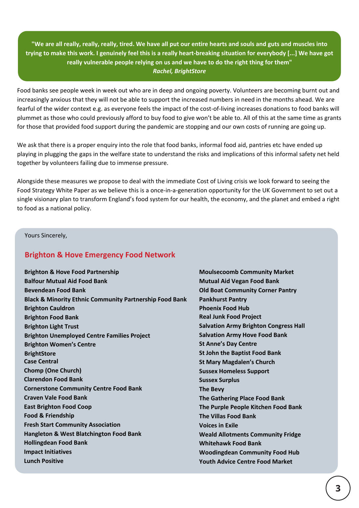"We are all really, really, really, tired. We have all put our entire hearts and souls and guts and muscles into trying to make this work. I genuinely feel this is a really heart-breaking situation for everybody [...] We have got **really vulnerable people relying on us and we have to do the right thing for them"** *Rachel, BrightStore*

Food banks see people week in week out who are in deep and ongoing poverty. Volunteers are becoming burnt out and increasingly anxious that they will not be able to support the increased numbers in need in the months ahead. We are fearful of the wider context e.g. as everyone feels the impact of the cost-of-living increases donations to food banks will plummet as those who could previously afford to buy food to give won't be able to. All of this at the same time as grants for those that provided food support during the pandemic are stopping and our own costs of running are going up.

We ask that there is a proper enquiry into the role that food banks, informal food aid, pantries etc have ended up playing in plugging the gaps in the welfare state to understand the risks and implications of this informal safety net held together by volunteers failing due to immense pressure.

Alongside these measures we propose to deal with the immediate Cost of Living crisis we look forward to seeing the Food Strategy White Paper as we believe this is a once-in-a-generation opportunity for the UK Government to set out a single visionary plan to transform England's food system for our health, the economy, and the planet and embed a right to food as a national policy.

Yours Sincerely,

## **Brighton & Hove Emergency Food Network**

| <b>Brighton &amp; Hove Food Partnership</b>                        |  |
|--------------------------------------------------------------------|--|
| <b>Balfour Mutual Aid Food Bank</b>                                |  |
| <b>Bevendean Food Bank</b>                                         |  |
| <b>Black &amp; Minority Ethnic Community Partnership Food Bank</b> |  |
| <b>Brighton Cauldron</b>                                           |  |
| <b>Brighton Food Bank</b>                                          |  |
| <b>Brighton Light Trust</b>                                        |  |
| <b>Brighton Unemployed Centre Families Project</b>                 |  |
| <b>Brighton Women's Centre</b>                                     |  |
| <b>BrightStore</b>                                                 |  |
| <b>Case Central</b>                                                |  |
| <b>Chomp (One Church)</b>                                          |  |
| <b>Clarendon Food Bank</b>                                         |  |
| <b>Cornerstone Community Centre Food Bank</b>                      |  |
| <b>Craven Vale Food Bank</b>                                       |  |
| <b>East Brighton Food Coop</b>                                     |  |
| <b>Food &amp; Friendship</b>                                       |  |
| <b>Fresh Start Community Association</b>                           |  |
| <b>Hangleton &amp; West Blatchington Food Bank</b>                 |  |
| <b>Hollingdean Food Bank</b>                                       |  |
| <b>Impact Initiatives</b>                                          |  |
| <b>Lunch Positive</b>                                              |  |
|                                                                    |  |

**Moulsecoomb Community Market Mutual Aid Vegan Food Bank Old Boat Community Corner Pantry Pankhurst Pantry Phoenix Food Hub Real Junk Food Project Salvation Army Brighton Congress Hall Salvation Army Hove Food Bank St Anne's Day Centre St John the Baptist Food Bank St Mary Magdalen's Church Sussex Homeless Support Sussex Surplus The Bevy The Gathering Place Food Bank The Purple People Kitchen Food Bank The Villas Food Bank Voices in Exile Weald Allotments Community Fridge Whitehawk Food Bank Woodingdean Community Food Hub Youth Advice Centre Food Market**